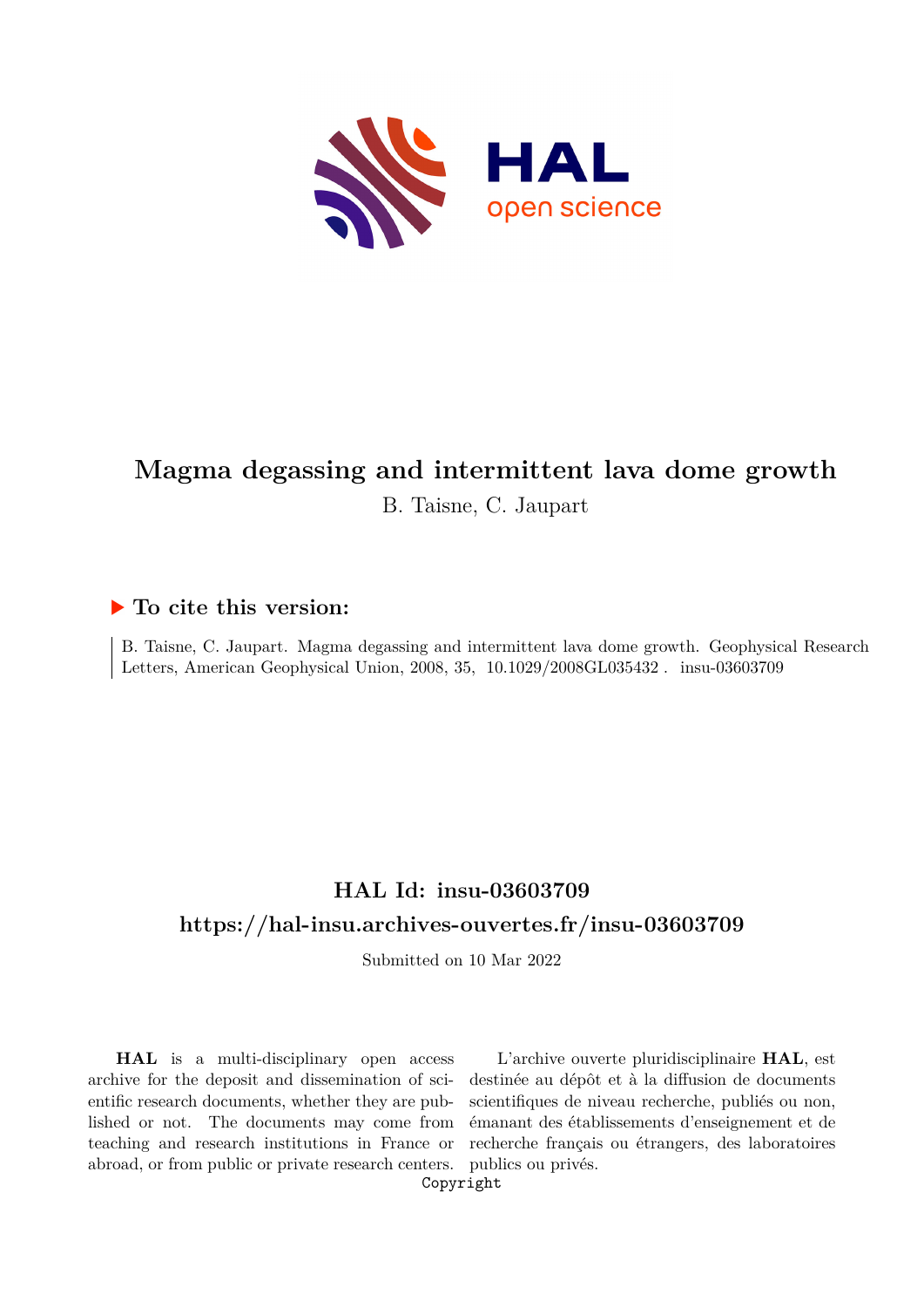

# **Magma degassing and intermittent lava dome growth** B. Taisne, C. Jaupart

### **To cite this version:**

B. Taisne, C. Jaupart. Magma degassing and intermittent lava dome growth. Geophysical Research Letters, American Geophysical Union, 2008, 35, 10.1029/2008GL035432. insu-03603709

## **HAL Id: insu-03603709 <https://hal-insu.archives-ouvertes.fr/insu-03603709>**

Submitted on 10 Mar 2022

**HAL** is a multi-disciplinary open access archive for the deposit and dissemination of scientific research documents, whether they are published or not. The documents may come from teaching and research institutions in France or abroad, or from public or private research centers.

L'archive ouverte pluridisciplinaire **HAL**, est destinée au dépôt et à la diffusion de documents scientifiques de niveau recherche, publiés ou non, émanant des établissements d'enseignement et de recherche français ou étrangers, des laboratoires publics ou privés.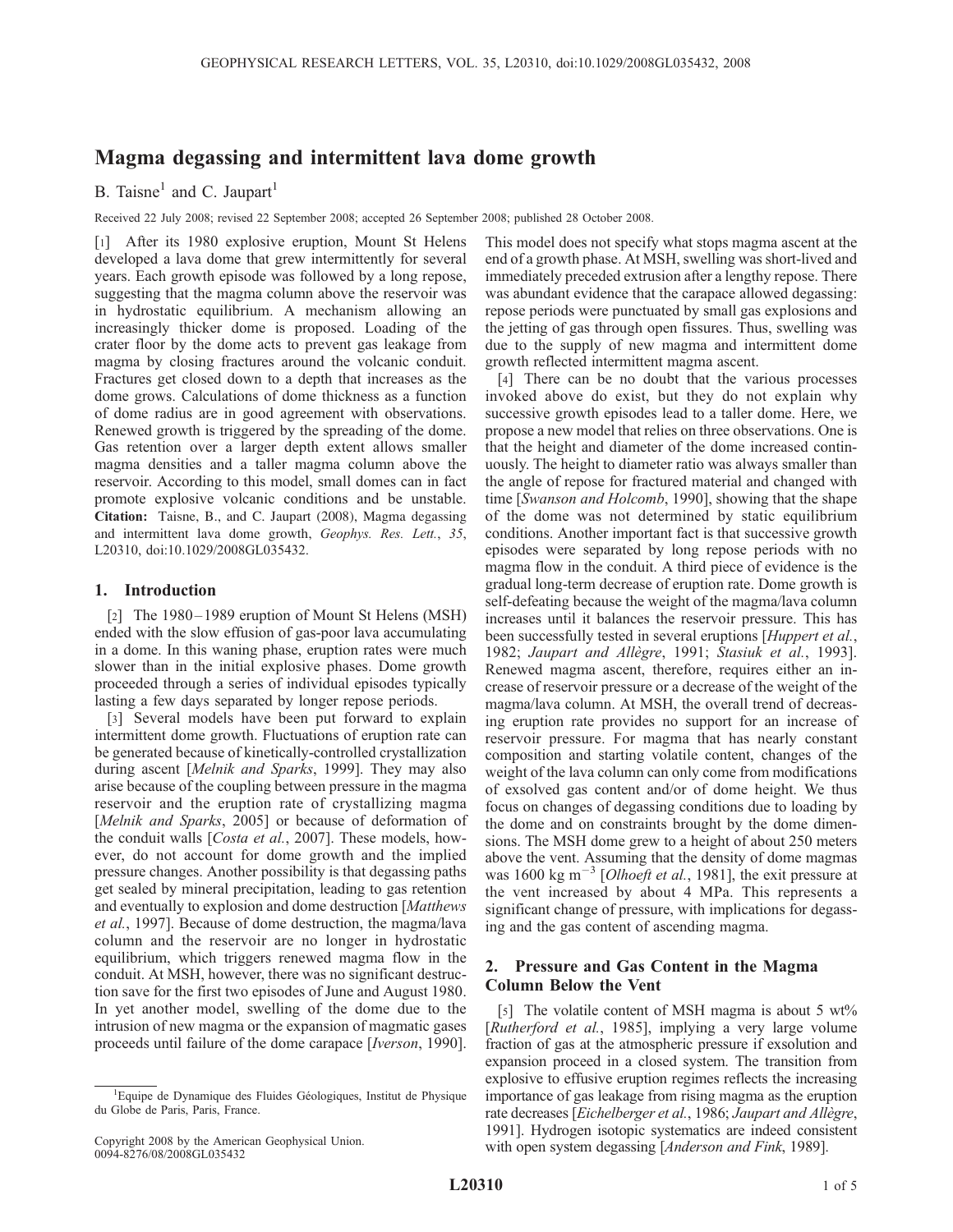### Magma degassing and intermittent lava dome growth

B. Taisne<sup>1</sup> and C. Jaupart<sup>1</sup>

Received 22 July 2008; revised 22 September 2008; accepted 26 September 2008; published 28 October 2008.

[1] After its 1980 explosive eruption, Mount St Helens developed a lava dome that grew intermittently for several years. Each growth episode was followed by a long repose, suggesting that the magma column above the reservoir was in hydrostatic equilibrium. A mechanism allowing an increasingly thicker dome is proposed. Loading of the crater floor by the dome acts to prevent gas leakage from magma by closing fractures around the volcanic conduit. Fractures get closed down to a depth that increases as the dome grows. Calculations of dome thickness as a function of dome radius are in good agreement with observations. Renewed growth is triggered by the spreading of the dome. Gas retention over a larger depth extent allows smaller magma densities and a taller magma column above the reservoir. According to this model, small domes can in fact promote explosive volcanic conditions and be unstable. Citation: Taisne, B., and C. Jaupart (2008), Magma degassing and intermittent lava dome growth, Geophys. Res. Lett., 35, L20310, doi:10.1029/2008GL035432.

#### 1. Introduction

[2] The 1980–1989 eruption of Mount St Helens (MSH) ended with the slow effusion of gas-poor lava accumulating in a dome. In this waning phase, eruption rates were much slower than in the initial explosive phases. Dome growth proceeded through a series of individual episodes typically lasting a few days separated by longer repose periods.

[3] Several models have been put forward to explain intermittent dome growth. Fluctuations of eruption rate can be generated because of kinetically-controlled crystallization during ascent [Melnik and Sparks, 1999]. They may also arise because of the coupling between pressure in the magma reservoir and the eruption rate of crystallizing magma [Melnik and Sparks, 2005] or because of deformation of the conduit walls [Costa et al., 2007]. These models, however, do not account for dome growth and the implied pressure changes. Another possibility is that degassing paths get sealed by mineral precipitation, leading to gas retention and eventually to explosion and dome destruction [Matthews et al., 1997]. Because of dome destruction, the magma/lava column and the reservoir are no longer in hydrostatic equilibrium, which triggers renewed magma flow in the conduit. At MSH, however, there was no significant destruction save for the first two episodes of June and August 1980. In yet another model, swelling of the dome due to the intrusion of new magma or the expansion of magmatic gases proceeds until failure of the dome carapace [Iverson, 1990].

This model does not specify what stops magma ascent at the end of a growth phase. At MSH, swelling was short-lived and immediately preceded extrusion after a lengthy repose. There was abundant evidence that the carapace allowed degassing: repose periods were punctuated by small gas explosions and the jetting of gas through open fissures. Thus, swelling was due to the supply of new magma and intermittent dome growth reflected intermittent magma ascent.

[4] There can be no doubt that the various processes invoked above do exist, but they do not explain why successive growth episodes lead to a taller dome. Here, we propose a new model that relies on three observations. One is that the height and diameter of the dome increased continuously. The height to diameter ratio was always smaller than the angle of repose for fractured material and changed with time [Swanson and Holcomb, 1990], showing that the shape of the dome was not determined by static equilibrium conditions. Another important fact is that successive growth episodes were separated by long repose periods with no magma flow in the conduit. A third piece of evidence is the gradual long-term decrease of eruption rate. Dome growth is self-defeating because the weight of the magma/lava column increases until it balances the reservoir pressure. This has been successfully tested in several eruptions [*Huppert et al.*, 1982; Jaupart and Allègre, 1991; Stasiuk et al., 1993]. Renewed magma ascent, therefore, requires either an increase of reservoir pressure or a decrease of the weight of the magma/lava column. At MSH, the overall trend of decreasing eruption rate provides no support for an increase of reservoir pressure. For magma that has nearly constant composition and starting volatile content, changes of the weight of the lava column can only come from modifications of exsolved gas content and/or of dome height. We thus focus on changes of degassing conditions due to loading by the dome and on constraints brought by the dome dimensions. The MSH dome grew to a height of about 250 meters above the vent. Assuming that the density of dome magmas was 1600 kg m<sup>-3</sup> [*Olhoeft et al.*, 1981], the exit pressure at the vent increased by about 4 MPa. This represents a significant change of pressure, with implications for degassing and the gas content of ascending magma.

#### 2. Pressure and Gas Content in the Magma Column Below the Vent

[5] The volatile content of MSH magma is about 5 wt% [Rutherford et al., 1985], implying a very large volume fraction of gas at the atmospheric pressure if exsolution and expansion proceed in a closed system. The transition from explosive to effusive eruption regimes reflects the increasing importance of gas leakage from rising magma as the eruption rate decreases [Eichelberger et al., 1986; Jaupart and Allègre, 1991]. Hydrogen isotopic systematics are indeed consistent with open system degassing [Anderson and Fink, 1989].

<sup>&</sup>lt;sup>1</sup>Equipe de Dynamique des Fluides Géologiques, Institut de Physique du Globe de Paris, Paris, France.

Copyright 2008 by the American Geophysical Union. 0094-8276/08/2008GL035432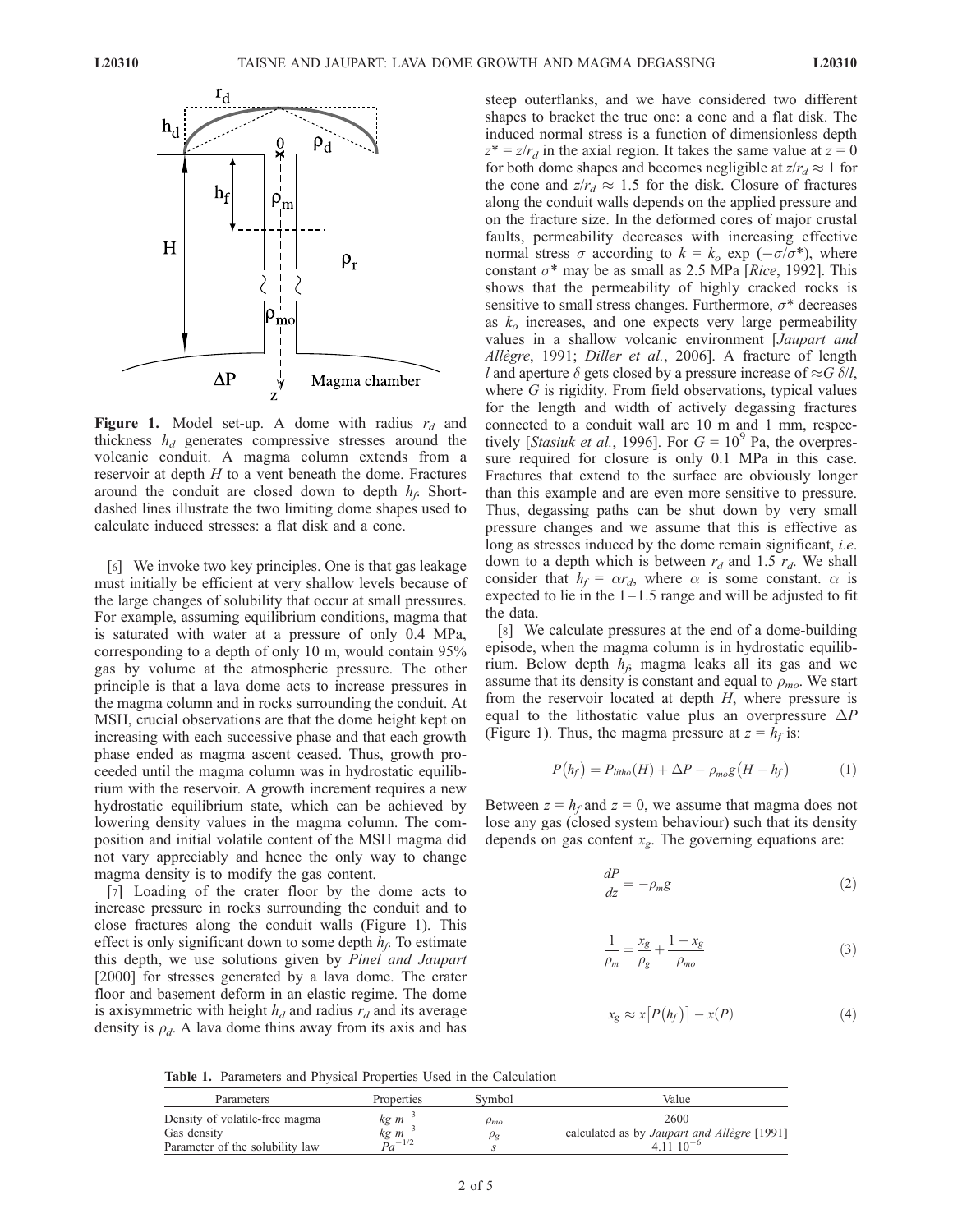

**Figure 1.** Model set-up. A dome with radius  $r_d$  and thickness  $h_d$  generates compressive stresses around the volcanic conduit. A magma column extends from a reservoir at depth  $H$  to a vent beneath the dome. Fractures around the conduit are closed down to depth  $h_f$ . Shortdashed lines illustrate the two limiting dome shapes used to calculate induced stresses: a flat disk and a cone.

[6] We invoke two key principles. One is that gas leakage must initially be efficient at very shallow levels because of the large changes of solubility that occur at small pressures. For example, assuming equilibrium conditions, magma that is saturated with water at a pressure of only 0.4 MPa, corresponding to a depth of only 10 m, would contain 95% gas by volume at the atmospheric pressure. The other principle is that a lava dome acts to increase pressures in the magma column and in rocks surrounding the conduit. At MSH, crucial observations are that the dome height kept on increasing with each successive phase and that each growth phase ended as magma ascent ceased. Thus, growth proceeded until the magma column was in hydrostatic equilibrium with the reservoir. A growth increment requires a new hydrostatic equilibrium state, which can be achieved by lowering density values in the magma column. The composition and initial volatile content of the MSH magma did not vary appreciably and hence the only way to change magma density is to modify the gas content.

[7] Loading of the crater floor by the dome acts to increase pressure in rocks surrounding the conduit and to close fractures along the conduit walls (Figure 1). This effect is only significant down to some depth  $h_f$ . To estimate this depth, we use solutions given by Pinel and Jaupart [2000] for stresses generated by a lava dome. The crater floor and basement deform in an elastic regime. The dome is axisymmetric with height  $h_d$  and radius  $r_d$  and its average density is  $\rho_d$ . A lava dome thins away from its axis and has steep outerflanks, and we have considered two different shapes to bracket the true one: a cone and a flat disk. The induced normal stress is a function of dimensionless depth  $z^* = z/r_d$  in the axial region. It takes the same value at  $z = 0$ for both dome shapes and becomes negligible at  $z/r_d \approx 1$  for the cone and  $z/r_d \approx 1.5$  for the disk. Closure of fractures along the conduit walls depends on the applied pressure and on the fracture size. In the deformed cores of major crustal faults, permeability decreases with increasing effective normal stress  $\sigma$  according to  $k = k_o \exp(-\sigma/\sigma^*)$ , where constant  $\sigma^*$  may be as small as 2.5 MPa [Rice, 1992]. This shows that the permeability of highly cracked rocks is sensitive to small stress changes. Furthermore,  $\sigma^*$  decreases as  $k<sub>o</sub>$  increases, and one expects very large permeability values in a shallow volcanic environment [Jaupart and Allègre, 1991; Diller et al., 2006]. A fracture of length l and aperture  $\delta$  gets closed by a pressure increase of  $\approx G \delta/l$ , where G is rigidity. From field observations, typical values for the length and width of actively degassing fractures connected to a conduit wall are 10 m and 1 mm, respectively [*Stasiuk et al.*, 1996]. For  $G = 10^9$  Pa, the overpressure required for closure is only 0.1 MPa in this case. Fractures that extend to the surface are obviously longer than this example and are even more sensitive to pressure. Thus, degassing paths can be shut down by very small pressure changes and we assume that this is effective as long as stresses induced by the dome remain significant, *i.e.* down to a depth which is between  $r_d$  and 1.5  $r_d$ . We shall consider that  $h_f = \alpha r_d$ , where  $\alpha$  is some constant.  $\alpha$  is expected to lie in the  $1-1.5$  range and will be adjusted to fit the data.

[8] We calculate pressures at the end of a dome-building episode, when the magma column is in hydrostatic equilibrium. Below depth  $h_f$ , magma leaks all its gas and we assume that its density is constant and equal to  $\rho_{mo}$ . We start from the reservoir located at depth H, where pressure is equal to the lithostatic value plus an overpressure  $\Delta P$ (Figure 1). Thus, the magma pressure at  $z = h_f$  is:

$$
P(h_f) = P_{litho}(H) + \Delta P - \rho_{mo}g\big(H - h_f\big) \tag{1}
$$

Between  $z = h_f$  and  $z = 0$ , we assume that magma does not lose any gas (closed system behaviour) such that its density depends on gas content  $x_{\varrho}$ . The governing equations are:

$$
\frac{dP}{dz} = -\rho_m g \tag{2}
$$

$$
\frac{1}{\rho_m} = \frac{x_g}{\rho_g} + \frac{1 - x_g}{\rho_{mo}}\tag{3}
$$

$$
x_g \approx x[P(h_f)] - x(P) \tag{4}
$$

Table 1. Parameters and Physical Properties Used in the Calculation

| Parameters                                                                       | Properties                                        | Svmbol                         | Value                                                               |
|----------------------------------------------------------------------------------|---------------------------------------------------|--------------------------------|---------------------------------------------------------------------|
| Density of volatile-free magma<br>Gas density<br>Parameter of the solubility law | $kg~m^{-3}$<br>$kg \; m^{-3}$<br>$\bar{p}_a$ -1/2 | $\rho_{mo}$<br>$\rho_{\sigma}$ | 2600<br>calculated as by Jaupart and Allègre [1991]<br>$41110^{-6}$ |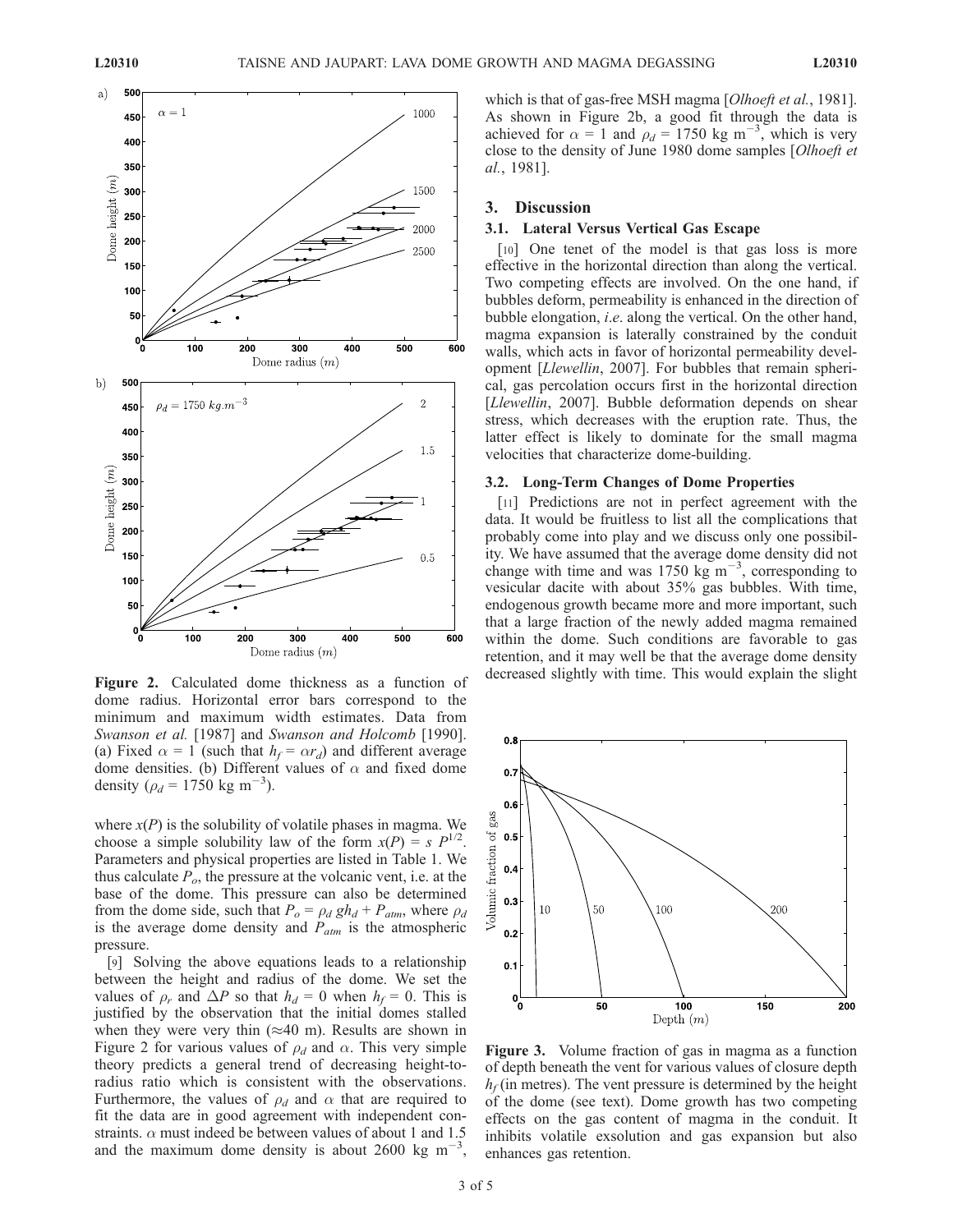

dome radius. Horizontal error bars correspond to the minimum and maximum width estimates. Data from Swanson et al. [1987] and Swanson and Holcomb [1990]. (a) Fixed  $\alpha = 1$  (such that  $h_f = \alpha r_d$ ) and different average dome densities. (b) Different values of  $\alpha$  and fixed dome density ( $\rho_d = 1750 \text{ kg m}^{-3}$ ).

where  $x(P)$  is the solubility of volatile phases in magma. We choose a simple solubility law of the form  $x(P) = s P^{1/2}$ . Parameters and physical properties are listed in Table 1. We thus calculate  $P<sub>o</sub>$ , the pressure at the volcanic vent, i.e. at the base of the dome. This pressure can also be determined from the dome side, such that  $P_o = \rho_d gh_d + P_{atm}$ , where  $\rho_d$ is the average dome density and  $P_{atm}$  is the atmospheric pressure.

[9] Solving the above equations leads to a relationship between the height and radius of the dome. We set the values of  $\rho_r$  and  $\Delta P$  so that  $h_d = 0$  when  $h_f = 0$ . This is justified by the observation that the initial domes stalled when they were very thin  $(\approx 40 \text{ m})$ . Results are shown in Figure 2 for various values of  $\rho_d$  and  $\alpha$ . This very simple theory predicts a general trend of decreasing height-toradius ratio which is consistent with the observations. Furthermore, the values of  $\rho_d$  and  $\alpha$  that are required to fit the data are in good agreement with independent constraints.  $\alpha$  must indeed be between values of about 1 and 1.5 and the maximum dome density is about 2600 kg  $m^{-3}$ ,

which is that of gas-free MSH magma [Olhoeft et al., 1981]. As shown in Figure 2b, a good fit through the data is achieved for  $\alpha = 1$  and  $\rho_d = 1750 \text{ kg m}^{-3}$ , which is very close to the density of June 1980 dome samples [Olhoeft et al., 1981].

#### 3. Discussion

#### 3.1. Lateral Versus Vertical Gas Escape

[10] One tenet of the model is that gas loss is more effective in the horizontal direction than along the vertical. Two competing effects are involved. On the one hand, if bubbles deform, permeability is enhanced in the direction of bubble elongation, i.e. along the vertical. On the other hand, magma expansion is laterally constrained by the conduit walls, which acts in favor of horizontal permeability development [Llewellin, 2007]. For bubbles that remain spherical, gas percolation occurs first in the horizontal direction [Llewellin, 2007]. Bubble deformation depends on shear stress, which decreases with the eruption rate. Thus, the latter effect is likely to dominate for the small magma velocities that characterize dome-building.

#### 3.2. Long-Term Changes of Dome Properties

[11] Predictions are not in perfect agreement with the data. It would be fruitless to list all the complications that probably come into play and we discuss only one possibility. We have assumed that the average dome density did not change with time and was 1750 kg  $\text{m}^{-3}$ , corresponding to vesicular dacite with about 35% gas bubbles. With time, endogenous growth became more and more important, such that a large fraction of the newly added magma remained within the dome. Such conditions are favorable to gas retention, and it may well be that the average dome density Figure 2. Calculated dome thickness as a function of decreased slightly with time. This would explain the slight



Figure 3. Volume fraction of gas in magma as a function of depth beneath the vent for various values of closure depth  $h_f$  (in metres). The vent pressure is determined by the height of the dome (see text). Dome growth has two competing effects on the gas content of magma in the conduit. It inhibits volatile exsolution and gas expansion but also enhances gas retention.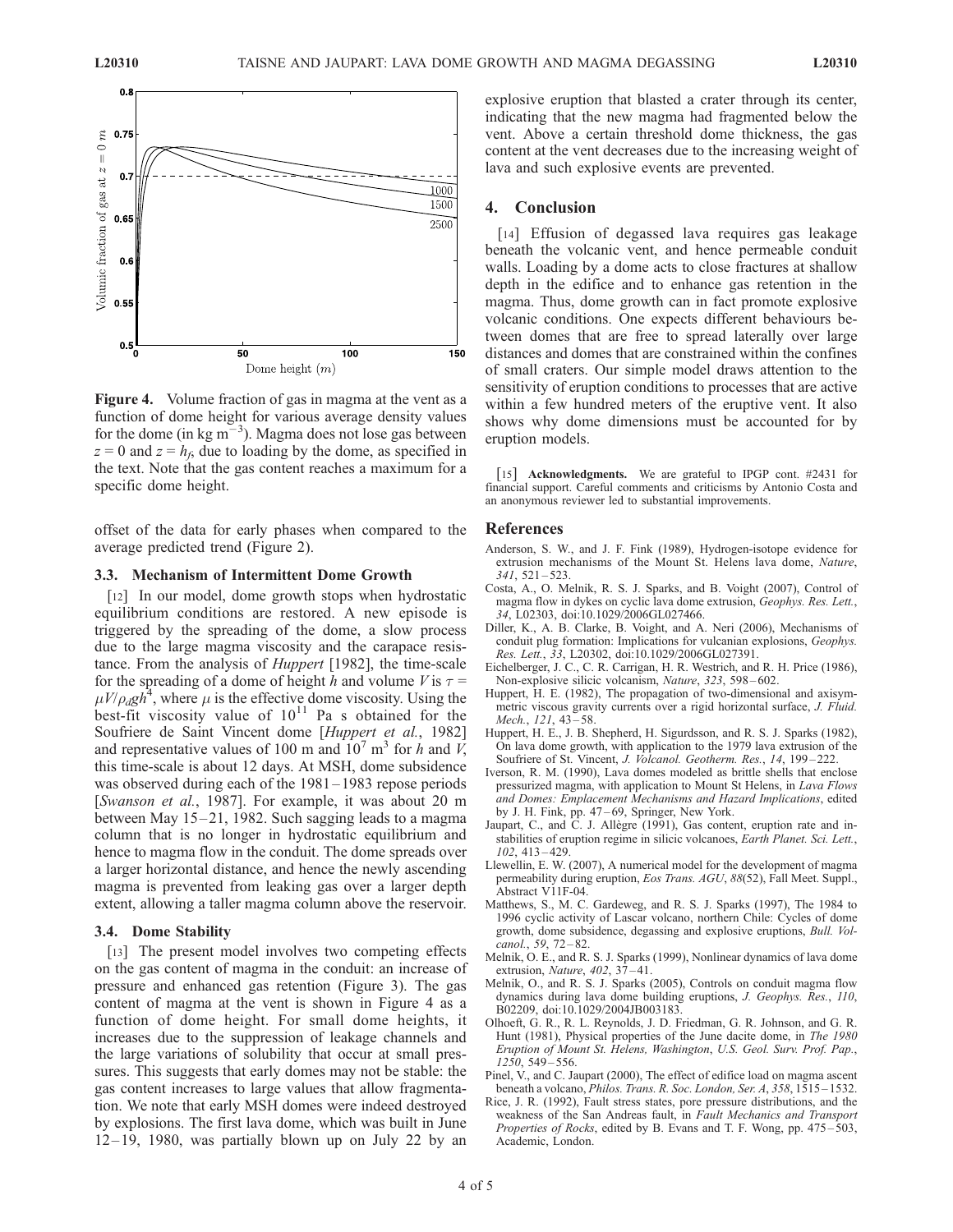

Figure 4. Volume fraction of gas in magma at the vent as a function of dome height for various average density values for the dome (in kg  $m^{-3}$ ). Magma does not lose gas between  $z = 0$  and  $z = h_f$ , due to loading by the dome, as specified in the text. Note that the gas content reaches a maximum for a specific dome height.

offset of the data for early phases when compared to the average predicted trend (Figure 2).

#### 3.3. Mechanism of Intermittent Dome Growth

[12] In our model, dome growth stops when hydrostatic equilibrium conditions are restored. A new episode is triggered by the spreading of the dome, a slow process due to the large magma viscosity and the carapace resistance. From the analysis of Huppert [1982], the time-scale for the spreading of a dome of height h and volume V is  $\tau =$  $\mu V/\rho_d g h^4$ , where  $\mu$  is the effective dome viscosity. Using the best-fit viscosity value of  $10^{11}$  Pa s obtained for the Soufriere de Saint Vincent dome [Huppert et al., 1982] and representative values of 100 m and  $10^7$  m<sup>3</sup> for h and V, this time-scale is about 12 days. At MSH, dome subsidence was observed during each of the 1981–1983 repose periods [Swanson et al., 1987]. For example, it was about 20 m between May 15-21, 1982. Such sagging leads to a magma column that is no longer in hydrostatic equilibrium and hence to magma flow in the conduit. The dome spreads over a larger horizontal distance, and hence the newly ascending magma is prevented from leaking gas over a larger depth extent, allowing a taller magma column above the reservoir.

#### 3.4. Dome Stability

[13] The present model involves two competing effects on the gas content of magma in the conduit: an increase of pressure and enhanced gas retention (Figure 3). The gas content of magma at the vent is shown in Figure 4 as a function of dome height. For small dome heights, it increases due to the suppression of leakage channels and the large variations of solubility that occur at small pressures. This suggests that early domes may not be stable: the gas content increases to large values that allow fragmentation. We note that early MSH domes were indeed destroyed by explosions. The first lava dome, which was built in June  $12 - 19$ , 1980, was partially blown up on July 22 by an

explosive eruption that blasted a crater through its center, indicating that the new magma had fragmented below the vent. Above a certain threshold dome thickness, the gas content at the vent decreases due to the increasing weight of lava and such explosive events are prevented.

#### 4. Conclusion

[14] Effusion of degassed lava requires gas leakage beneath the volcanic vent, and hence permeable conduit walls. Loading by a dome acts to close fractures at shallow depth in the edifice and to enhance gas retention in the magma. Thus, dome growth can in fact promote explosive volcanic conditions. One expects different behaviours between domes that are free to spread laterally over large distances and domes that are constrained within the confines of small craters. Our simple model draws attention to the sensitivity of eruption conditions to processes that are active within a few hundred meters of the eruptive vent. It also shows why dome dimensions must be accounted for by eruption models.

[15] Acknowledgments. We are grateful to IPGP cont. #2431 for financial support. Careful comments and criticisms by Antonio Costa and an anonymous reviewer led to substantial improvements.

#### References

- Anderson, S. W., and J. F. Fink (1989), Hydrogen-isotope evidence for extrusion mechanisms of the Mount St. Helens lava dome, Nature,  $341, 521 - 523$
- Costa, A., O. Melnik, R. S. J. Sparks, and B. Voight (2007), Control of magma flow in dykes on cyclic lava dome extrusion, Geophys. Res. Lett., 34, L02303, doi:10.1029/2006GL027466.
- Diller, K., A. B. Clarke, B. Voight, and A. Neri (2006), Mechanisms of conduit plug formation: Implications for vulcanian explosions, Geophys. Res. Lett., 33, L20302, doi:10.1029/2006GL027391.
- Eichelberger, J. C., C. R. Carrigan, H. R. Westrich, and R. H. Price (1986), Non-explosive silicic volcanism, Nature, 323, 598-602.
- Huppert, H. E. (1982), The propagation of two-dimensional and axisymmetric viscous gravity currents over a rigid horizontal surface, J. Fluid. Mech., 121, 43-58.
- Huppert, H. E., J. B. Shepherd, H. Sigurdsson, and R. S. J. Sparks (1982), On lava dome growth, with application to the 1979 lava extrusion of the Soufriere of St. Vincent, J. Volcanol. Geotherm. Res., 14, 199-222.
- Iverson, R. M. (1990), Lava domes modeled as brittle shells that enclose pressurized magma, with application to Mount St Helens, in Lava Flows and Domes: Emplacement Mechanisms and Hazard Implications, edited by J. H. Fink, pp. 47–69, Springer, New York.
- Jaupart, C., and C. J. Allègre (1991), Gas content, eruption rate and instabilities of eruption regime in silicic volcanoes, Earth Planet. Sci. Lett., 102, 413 – 429.
- Llewellin, E. W. (2007), A numerical model for the development of magma permeability during eruption, Eos Trans. AGU, 88(52), Fall Meet. Suppl., Abstract V11F-04.
- Matthews, S., M. C. Gardeweg, and R. S. J. Sparks (1997), The 1984 to 1996 cyclic activity of Lascar volcano, northern Chile: Cycles of dome growth, dome subsidence, degassing and explosive eruptions, Bull. Volcanol., 59, 72-82
- Melnik, O. E., and R. S. J. Sparks (1999), Nonlinear dynamics of lava dome extrusion, Nature,  $402$ ,  $37 - 41$ .
- Melnik, O., and R. S. J. Sparks (2005), Controls on conduit magma flow dynamics during lava dome building eruptions, J. Geophys. Res., 110, B02209, doi:10.1029/2004JB003183.
- Olhoeft, G. R., R. L. Reynolds, J. D. Friedman, G. R. Johnson, and G. R. Hunt (1981), Physical properties of the June dacite dome, in The 1980 Eruption of Mount St. Helens, Washington, U.S. Geol. Surv. Prof. Pap., 1250, 549 – 556.
- Pinel, V., and C. Jaupart (2000), The effect of edifice load on magma ascent beneath a volcano, Philos. Trans. R. Soc. London, Ser. A, 358, 1515 – 1532.
- Rice, J. R. (1992), Fault stress states, pore pressure distributions, and the weakness of the San Andreas fault, in Fault Mechanics and Transport Properties of Rocks, edited by B. Evans and T. F. Wong, pp. 475–503, Academic, London.